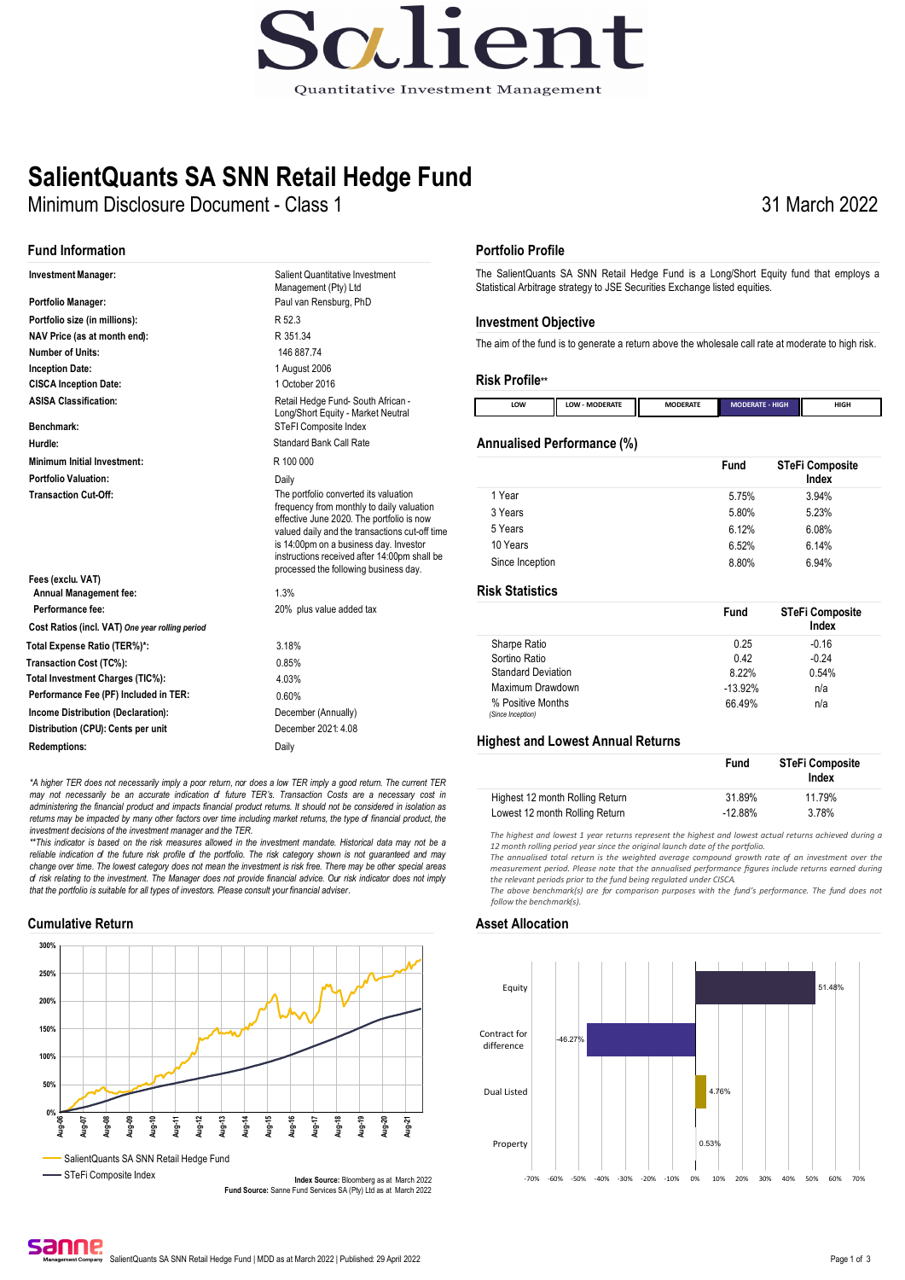

### **SalientQuants SA SNN Retail Hedge Fund**

Minimum Disclosure Document - Class 1

#### **Fund Information**

| <b>Investment Manager:</b>                       | Salient Quantitative Investment<br>Management (Pty) Ltd                                                                                                                                                                                                                                                              |
|--------------------------------------------------|----------------------------------------------------------------------------------------------------------------------------------------------------------------------------------------------------------------------------------------------------------------------------------------------------------------------|
| Portfolio Manager:                               | Paul van Rensburg, PhD                                                                                                                                                                                                                                                                                               |
| Portfolio size (in millions):                    | R 52.3                                                                                                                                                                                                                                                                                                               |
| NAV Price (as at month end):                     | R 351.34                                                                                                                                                                                                                                                                                                             |
| Number of Units:                                 | 146 887 74                                                                                                                                                                                                                                                                                                           |
| <b>Inception Date:</b>                           | 1 August 2006                                                                                                                                                                                                                                                                                                        |
| <b>CISCA Inception Date:</b>                     | 1 October 2016                                                                                                                                                                                                                                                                                                       |
| <b>ASISA Classification:</b><br>Benchmark:       | Retail Hedge Fund- South African -<br>Long/Short Equity - Market Neutral                                                                                                                                                                                                                                             |
| Hurdle:                                          | STeFI Composite Index<br>Standard Bank Call Rate                                                                                                                                                                                                                                                                     |
|                                                  |                                                                                                                                                                                                                                                                                                                      |
| <b>Minimum Initial Investment:</b>               | R 100 000                                                                                                                                                                                                                                                                                                            |
| <b>Portfolio Valuation:</b>                      | Daily                                                                                                                                                                                                                                                                                                                |
| <b>Transaction Cut-Off:</b><br>Fees (exclu. VAT) | The portfolio converted its valuation<br>frequency from monthly to daily valuation<br>effective June 2020. The portfolio is now<br>valued daily and the transactions cut-off time<br>is 14:00pm on a business day. Investor<br>instructions received after 14:00pm shall be<br>processed the following business day. |
| <b>Annual Management fee:</b>                    | 1.3%                                                                                                                                                                                                                                                                                                                 |
| Performance fee:                                 | 20% plus value added tax                                                                                                                                                                                                                                                                                             |
| Cost Ratios (incl. VAT) One year rolling period  |                                                                                                                                                                                                                                                                                                                      |
| Total Expense Ratio (TER%)*:                     | 3.18%                                                                                                                                                                                                                                                                                                                |
| Transaction Cost (TC%):                          | 0.85%                                                                                                                                                                                                                                                                                                                |
| Total Investment Charges (TIC%):                 | 4.03%                                                                                                                                                                                                                                                                                                                |
| Performance Fee (PF) Included in TER:            | 0.60%                                                                                                                                                                                                                                                                                                                |
| <b>Income Distribution (Declaration):</b>        | December (Annually)                                                                                                                                                                                                                                                                                                  |
| Distribution (CPU): Cents per unit               | December 2021: 4.08                                                                                                                                                                                                                                                                                                  |
| <b>Redemptions:</b>                              | Daily                                                                                                                                                                                                                                                                                                                |
|                                                  |                                                                                                                                                                                                                                                                                                                      |

*\*A higher TER does not necessarily imply a poor return, nor does a low TER imply a good return. The current TER*  may not necessarily be an accurate indication of future TER's. Transaction Costs are a necessary cost in<br>administering the financial product and impacts financial product returns. It should not be considered in isolation a returns may be impacted by many other factors over time including market returns, the type of financial product, the

*investment decisions of the investment manager and the TER. \*\*This indicator is based on the risk measures allowed in the investment mandate. Historical data may not be a*  reliable indication of the future risk profile of the portfolio. The risk category shown is not guaranteed and may *change over time. The lowest category does not mean the investment is risk free. There may be other special areas of risk relating to the investment. The Manager does not provide financial advice. Our risk indicator does not imply that the portfolio is suitable for all types of investors. Please consult your financial adviser.*

#### **Cumulative Return Asset Allocation**



#### **Portfolio Profile**

The SalientQuants SA SNN Retail Hedge Fund is a Long/Short Equity fund that employs a Statistical Arbitrage strategy to JSE Securities Exchange listed equities.

31 March 2022

#### **Investment Objective**

The aim of the fund is to generate a return above the wholesale call rate at moderate to high risk.

#### **Risk Profile\*\***

| LOW | II<br>- MODERATE<br>LOW | Ш<br><b>MODERATE</b> | <b>MODERATE - HIGH</b> | HIGH<br>____ |
|-----|-------------------------|----------------------|------------------------|--------------|

#### **Annualised Performance (%)**

|                 | <b>Fund</b> | <b>STeFi Composite</b><br>Index |
|-----------------|-------------|---------------------------------|
| 1 Year          | 5.75%       | 3.94%                           |
| 3 Years         | 5.80%       | 5.23%                           |
| 5 Years         | 6.12%       | 6.08%                           |
| 10 Years        | 6.52%       | 6.14%                           |
| Since Inception | 8.80%       | 6.94%                           |

#### **Risk Statistics**

|                           | Fund      | <b>STeFi Composite</b><br>Index |
|---------------------------|-----------|---------------------------------|
| Sharpe Ratio              | 0.25      | $-0.16$                         |
| Sortino Ratio             | 0.42      | $-0.24$                         |
| <b>Standard Deviation</b> | 8.22%     | 0.54%                           |
| Maximum Drawdown          | $-13.92%$ | n/a                             |
| % Positive Months         | 66.49%    | n/a                             |
| (Since Inception)         |           |                                 |

#### **Highest and Lowest Annual Returns**

|                                 | Fund      | STeFi Composite<br>Index |  |  |
|---------------------------------|-----------|--------------------------|--|--|
| Highest 12 month Rolling Return | 31.89%    | 11.79%                   |  |  |
| Lowest 12 month Rolling Return  | $-12.88%$ | 3.78%                    |  |  |

*The highest and lowest 1 year returns represent the highest and lowest actual returns achieved during a*  12 month rolling period year since the original launch date of the portfolio.

*The annualised total return is the weighted average compound growth rate of an investment over the measurement period. Please note that the annualised performance figures include returns earned during the relevant periods prior to the fund being regulated under CISCA.*

*The above benchmark(s) are for comparison purposes with the fund's performance. The fund does not follow the benchmark(s).*



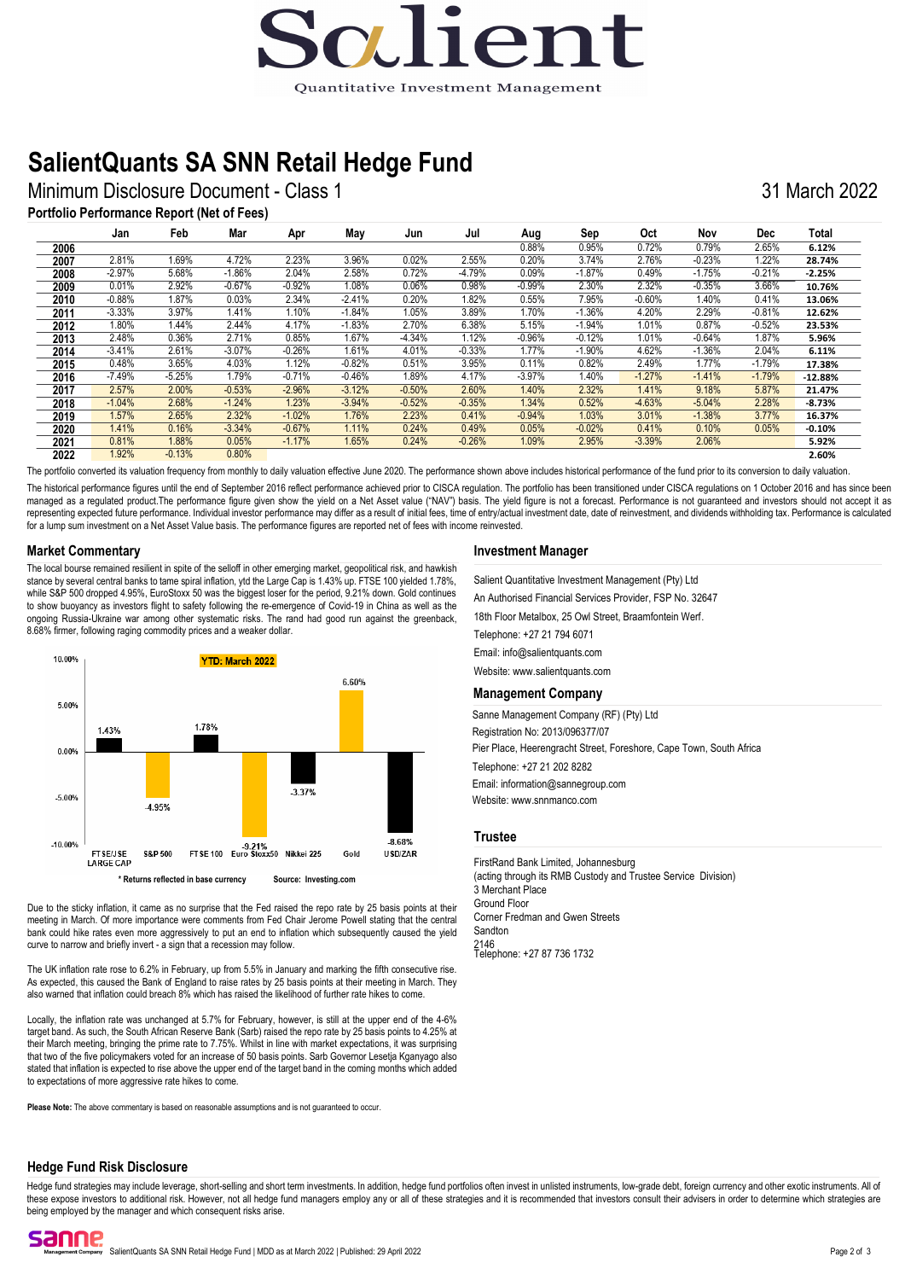# ig lien Quantitative Investment Management

### **SalientQuants SA SNN Retail Hedge Fund**

Minimum Disclosure Document - Class 1 31 March 2022

#### **Portfolio Performance Report (Net of Fees)**

|      | Jan      | Feb      | Mar      | Apr      | May      | Jun      | Jul      | Aug      | Sep      | Oct      | Nov      | <b>Dec</b> | Total     |
|------|----------|----------|----------|----------|----------|----------|----------|----------|----------|----------|----------|------------|-----------|
| 2006 |          |          |          |          |          |          |          | 0.88%    | 0.95%    | 0.72%    | 0.79%    | 2.65%      | 6.12%     |
| 2007 | 2.81%    | .69%     | 4.72%    | 2.23%    | 3.96%    | 0.02%    | 2.55%    | 0.20%    | 3.74%    | 2.76%    | $-0.23%$ | 1.22%      | 28.74%    |
| 2008 | $-2.97%$ | 5.68%    | $-1.86%$ | 2.04%    | 2.58%    | 0.72%    | $-4.79%$ | 0.09%    | $-1.87%$ | 0.49%    | $-1.75%$ | $-0.21%$   | $-2.25%$  |
| 2009 | 0.01%    | 2.92%    | $-0.67%$ | $-0.92%$ | 1.08%    | 0.06%    | 0.98%    | $-0.99%$ | 2.30%    | 2.32%    | $-0.35%$ | 3.66%      | 10.76%    |
| 2010 | $-0.88%$ | 1.87%    | 0.03%    | 2.34%    | $-2.41%$ | 0.20%    | .82%     | 0.55%    | 7.95%    | $-0.60%$ | 1.40%    | 0.41%      | 13.06%    |
| 2011 | $-3.33%$ | 3.97%    | 1.41%    | 1.10%    | $-1.84%$ | 1.05%    | 3.89%    | 1.70%    | $-1.36%$ | 4.20%    | 2.29%    | $-0.81%$   | 12.62%    |
| 2012 | 1.80%    | 1.44%    | 2.44%    | 4.17%    | $-1.83%$ | 2.70%    | 6.38%    | 5.15%    | $-1.94%$ | 1.01%    | 0.87%    | $-0.52%$   | 23.53%    |
| 2013 | 2.48%    | 0.36%    | 2.71%    | 0.85%    | 1.67%    | $-4.34%$ | 1.12%    | $-0.96%$ | $-0.12%$ | 1.01%    | $-0.64%$ | 1.87%      | 5.96%     |
| 2014 | $-3.41%$ | 2.61%    | $-3.07%$ | $-0.26%$ | 1.61%    | 4.01%    | $-0.33%$ | 1.77%    | $-1.90%$ | 4.62%    | $-1.36%$ | 2.04%      | 6.11%     |
| 2015 | 0.48%    | 3.65%    | 4.03%    | 1.12%    | $-0.82%$ | 0.51%    | 3.95%    | 0.11%    | 0.82%    | 2.49%    | 1.77%    | $-1.79%$   | 17.38%    |
| 2016 | $-7.49%$ | $-5.25%$ | 1.79%    | $-0.71%$ | $-0.46%$ | 1.89%    | 4.17%    | $-3.97%$ | 1.40%    | $-1.27%$ | $-1.41%$ | $-1.79%$   | $-12.88%$ |
| 2017 | 2.57%    | 2.00%    | $-0.53%$ | $-2.96%$ | $-3.12%$ | $-0.50%$ | 2.60%    | 1.40%    | 2.32%    | 1.41%    | 9.18%    | 5.87%      | 21.47%    |
| 2018 | $-1.04%$ | 2.68%    | $-1.24%$ | 1.23%    | $-3.94%$ | $-0.52%$ | $-0.35%$ | 1.34%    | 0.52%    | $-4.63%$ | $-5.04%$ | 2.28%      | $-8.73%$  |
| 2019 | 1.57%    | 2.65%    | 2.32%    | $-1.02%$ | 1.76%    | 2.23%    | 0.41%    | $-0.94%$ | 1.03%    | 3.01%    | $-1.38%$ | 3.77%      | 16.37%    |
| 2020 | 1.41%    | 0.16%    | $-3.34%$ | $-0.67%$ | 1.11%    | 0.24%    | 0.49%    | 0.05%    | $-0.02%$ | 0.41%    | 0.10%    | 0.05%      | $-0.10%$  |
| 2021 | 0.81%    | 1.88%    | 0.05%    | $-1.17%$ | 1.65%    | 0.24%    | $-0.26%$ | 1.09%    | 2.95%    | $-3.39%$ | 2.06%    |            | 5.92%     |
| 2022 | 1.92%    | $-0.13%$ | 0.80%    |          |          |          |          |          |          |          |          |            | 2.60%     |

The portfolio converted its valuation frequency from monthly to daily valuation effective June 2020. The performance shown above includes historical performance of the fund prior to its conversion to daily valuation.

The historical performance figures until the end of September 2016 reflect performance achieved prior to CISCA regulation. The portfolio has been transitioned under CISCA regulations on 1 October 2016 and has since been managed as a regulated product.The performance figure given show the yield on a Net Asset value ("NAV") basis. The yield figure is not a forecast. Performance is not guaranteed and investors should not accept it as representing expected future performance. Individual investor performance may differ as a result of initial fees, time of entry/actual investment date, date of reinvestment, and dividends withholding tax. Performance is ca for a lump sum investment on a Net Asset Value basis. The performance figures are reported net of fees with income reinvested.

#### **Market Commentary**

The local bourse remained resilient in spite of the selloff in other emerging market, geopolitical risk, and hawkish stance by several central banks to tame spiral inflation, ytd the Large Cap is 1.43% up. FTSE 100 yielded 1.78%, while S&P 500 dropped 4.95%, EuroStoxx 50 was the biggest loser for the period, 9.21% down. Gold continues to show buoyancy as investors flight to safety following the re-emergence of Covid-19 in China as well as the ongoing Russia-Ukraine war among other systematic risks. The rand had good run against the greenback, 8.68% firmer, following raging commodity prices and a weaker dollar.



Due to the sticky inflation, it came as no surprise that the Fed raised the repo rate by 25 basis points at their meeting in March. Of more importance were comments from Fed Chair Jerome Powell stating that the central bank could hike rates even more aggressively to put an end to inflation which subsequently caused the yield curve to narrow and briefly invert - a sign that a recession may follow.

The UK inflation rate rose to 6.2% in February, up from 5.5% in January and marking the fifth consecutive rise. As expected, this caused the Bank of England to raise rates by 25 basis points at their meeting in March. They also warned that inflation could breach 8% which has raised the likelihood of further rate hikes to come.

Locally, the inflation rate was unchanged at 5.7% for February, however, is still at the upper end of the 4-6% target band. As such, the South African Reserve Bank (Sarb) raised the repo rate by 25 basis points to 4.25% at their March meeting, bringing the prime rate to 7.75%. Whilst in line with market expectations, it was surprising that two of the five policymakers voted for an increase of 50 basis points. Sarb Governor Lesetja Kganyago also stated that inflation is expected to rise above the upper end of the target band in the coming months which added to expectations of more aggressive rate hikes to come.

**Please Note:** The above commentary is based on reasonable assumptions and is not guaranteed to occur.

#### **Investment Manager**

Salient Quantitative Investment Management (Pty) Ltd

An Authorised Financial Services Provider, FSP No. 32647

18th Floor Metalbox, 25 Owl Street, Braamfontein Werf.

Telephone: +27 21 794 6071

Email: info@salientquants.com

Website: www.salientquants.com

#### **Management Company**

Sanne Management Company (RF) (Pty) Ltd Registration No: 2013/096377/07

Pier Place, Heerengracht Street, Foreshore, Cape Town, South Africa

Telephone: +27 21 202 8282 Email: information@sannegroup.com

Website: www.snnmanco.com

#### **Trustee**

FirstRand Bank Limited, Johannesburg (acting through its RMB Custody and Trustee Service Division) Telephone: +27 87 736 1732 3 Merchant Place Ground Floor Corner Fredman and Gwen Streets Sandton 2146

#### **Hedge Fund Risk Disclosure**

Hedge fund strategies may include leverage, short-selling and short term investments. In addition, hedge fund portfolios often invest in unlisted instruments, low-grade debt, foreign currency and other exotic instruments. these expose investors to additional risk. However, not all hedge fund managers employ any or all of these strategies and it is recommended that investors consult their advisers in order to determine which strategies are being employed by the manager and which consequent risks arise.